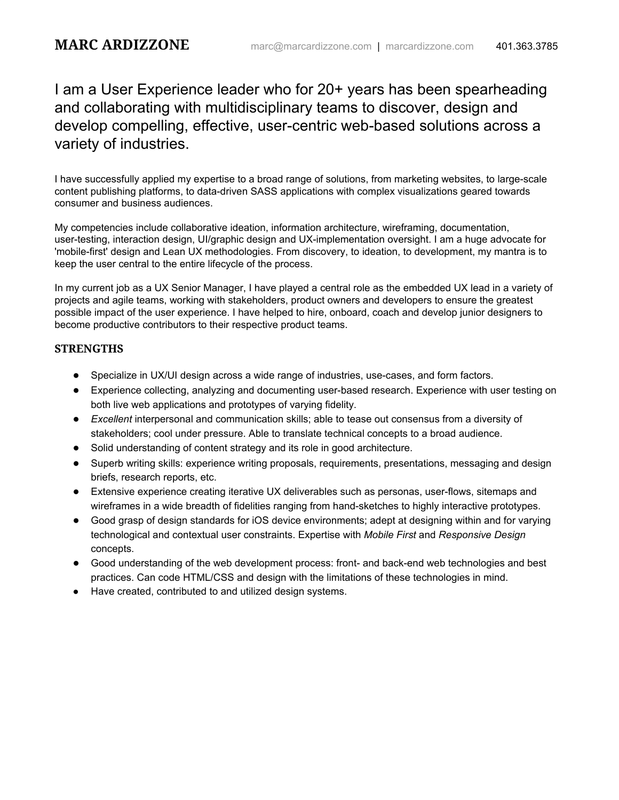I am a User Experience leader who for 20+ years has been spearheading and collaborating with multidisciplinary teams to discover, design and develop compelling, effective, user-centric web-based solutions across a variety of industries.

I have successfully applied my expertise to a broad range of solutions, from marketing websites, to large-scale content publishing platforms, to data-driven SASS applications with complex visualizations geared towards consumer and business audiences.

My competencies include collaborative ideation, information architecture, wireframing, documentation, user-testing, interaction design, UI/graphic design and UX-implementation oversight. I am a huge advocate for 'mobile-first' design and Lean UX methodologies. From discovery, to ideation, to development, my mantra is to keep the user central to the entire lifecycle of the process.

In my current job as a UX Senior Manager, I have played a central role as the embedded UX lead in a variety of projects and agile teams, working with stakeholders, product owners and developers to ensure the greatest possible impact of the user experience. I have helped to hire, onboard, coach and develop junior designers to become productive contributors to their respective product teams.

## **STRENGTHS**

- Specialize in UX/UI design across a wide range of industries, use-cases, and form factors.
- Experience collecting, analyzing and documenting user-based research. Experience with user testing on both live web applications and prototypes of varying fidelity.
- *Excellent* interpersonal and communication skills; able to tease out consensus from a diversity of stakeholders; cool under pressure. Able to translate technical concepts to a broad audience.
- Solid understanding of content strategy and its role in good architecture.
- Superb writing skills: experience writing proposals, requirements, presentations, messaging and design briefs, research reports, etc.
- Extensive experience creating iterative UX deliverables such as personas, user-flows, sitemaps and wireframes in a wide breadth of fidelities ranging from hand-sketches to highly interactive prototypes.
- Good grasp of design standards for iOS device environments; adept at designing within and for varying technological and contextual user constraints. Expertise with *Mobile First* and *Responsive Design* concepts.
- Good understanding of the web development process: front- and back-end web technologies and best practices. Can code HTML/CSS and design with the limitations of these technologies in mind.
- Have created, contributed to and utilized design systems.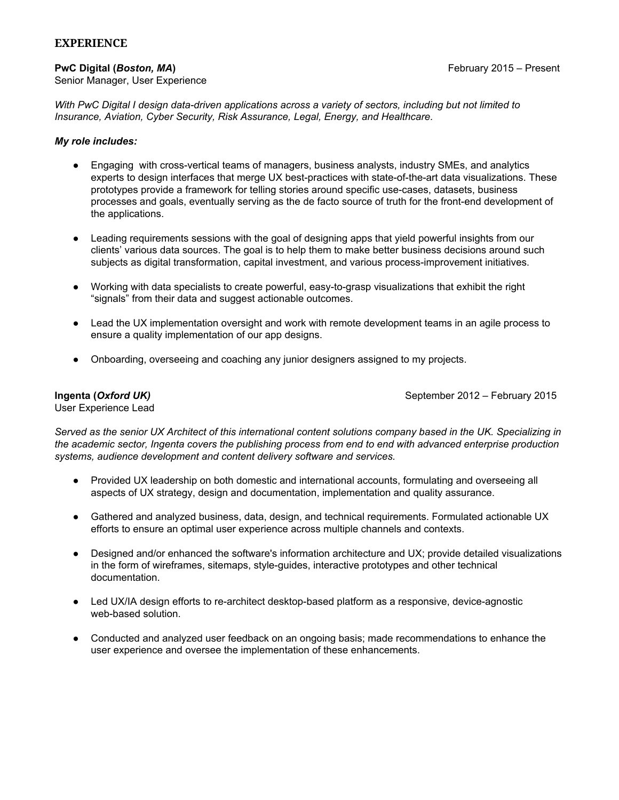### **EXPERIENCE**

#### **PwC Digital (***Boston, MA***)** February 2015 – Present

With PwC Digital I design data-driven applications across a variety of sectors, including but not limited to *Insurance, Aviation, Cyber Security, Risk Assurance, Legal, Energy, and Healthcare.*

#### *My role includes:*

- Engaging with cross-vertical teams of managers, business analysts, industry SMEs, and analytics experts to design interfaces that merge UX best-practices with state-of-the-art data visualizations. These prototypes provide a framework for telling stories around specific use-cases, datasets, business processes and goals, eventually serving as the de facto source of truth for the front-end development of the applications.
- *●* Leading requirements sessions with the goal of designing apps that yield powerful insights from our clients' various data sources. The goal is to help them to make better business decisions around such subjects as digital transformation, capital investment, and various process-improvement initiatives.
- *●* Working with data specialists to create powerful, easy-to-grasp visualizations that exhibit the right "signals" from their data and suggest actionable outcomes.
- Lead the UX implementation oversight and work with remote development teams in an agile process to ensure a quality implementation of our app designs.
- Onboarding, overseeing and coaching any junior designers assigned to my projects.

User Experience Lead

**Ingenta (Oxford UK)** September 2012 – February 2015

Served as the senior UX Architect of this international content solutions company based in the UK. Specializing in *the academic sector, Ingenta covers the publishing process from end to end with advanced enterprise production systems, audience development and content delivery software and services.*

- Provided UX leadership on both domestic and international accounts, formulating and overseeing all aspects of UX strategy, design and documentation, implementation and quality assurance.
- Gathered and analyzed business, data, design, and technical requirements. Formulated actionable UX efforts to ensure an optimal user experience across multiple channels and contexts.
- Designed and/or enhanced the software's information architecture and UX; provide detailed visualizations in the form of wireframes, sitemaps, style-guides, interactive prototypes and other technical documentation.
- Led UX/IA design efforts to re-architect desktop-based platform as a responsive, device-agnostic web-based solution.
- Conducted and analyzed user feedback on an ongoing basis; made recommendations to enhance the user experience and oversee the implementation of these enhancements.